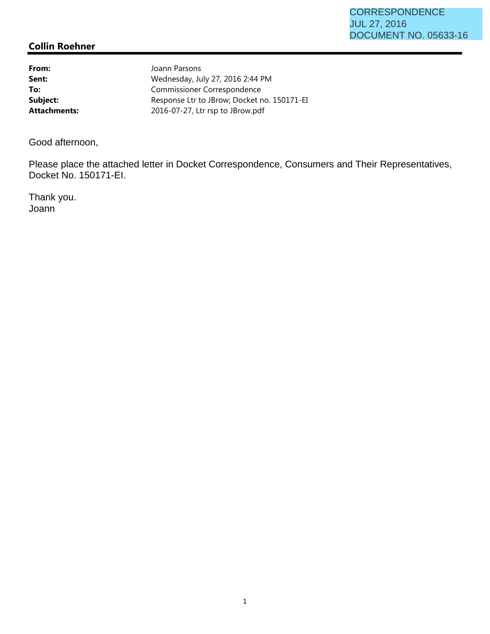## **CORRESPONDENCE** JUL 27, 2016 DOCUMENT NO. 05633-16

## **Collin Roehner**

From: **From:** Joann Parsons **Sent:** Wednesday, July 27, 2016 2:44 PM To: Commissioner Correspondence Subject: Response Ltr to JBrow; Docket no. 150171-EI **Attachments:** 2016-07-27, Ltr rsp to JBrow.pdf

Good afternoon,

Please place the attached letter in Docket Correspondence, Consumers and Their Representatives, Docket No. 150171-EI.

Thank you. Joann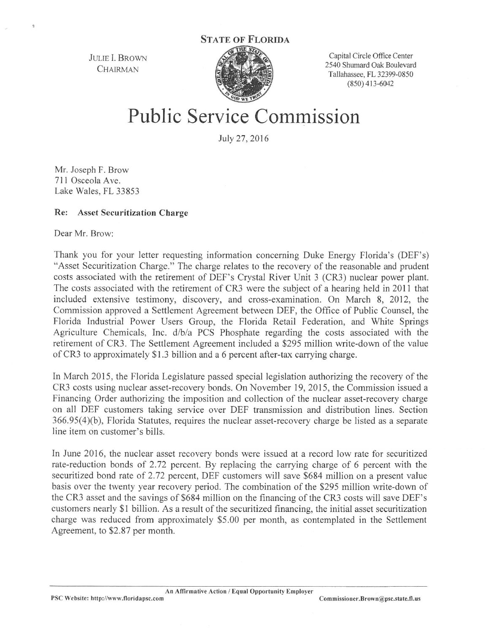JULIE I. BROWN **CHAIRMAN** 



Capital Circle Office Center 2540 Shwnard Oak Boulevard Tallahassee, FL 32399-0850 (850) 413-6042

## **Public Service Commission**

July 27,2016

Mr. Joseph F. Brow 711 Osceola Ave. Lake Wales, FL 33853

## **Re:** Asset **Securitization Charge**

Dear Mr. Brow:

 $\overline{2}$ 

Thank you for your letter requesting information concerning Duke Energy Florida's (DEF's) "Asset Securitization Charge." The charge relates to the recovery of the reasonable and prudent costs associated with the retirement of DEF's Crystal River Unit 3 (CR3) nuclear power plant. The costs associated with the retirement of CR3 were the subject of a hearing held in 2011 that included extensive testimony, discovery, and cross-examination. On March 8, 2012, the Commission approved a Settlement Agreement between DEF, the Office of Public Counsel, the Florida Industrial Power Users Group, the Florida Retail Federation, and White Springs Agriculture Chemicals, Inc. d/b/a PCS Phosphate regarding the costs associated with the retirement of CR3. The Settlement Agreement included a \$295 million write-down of the value of CR3 to approximately \$1.3 billion and a 6 percent after-tax carrying charge.

In March 2015, the Florida Legislature passed special legislation authorizing the recovery of the CR3 costs using nuclear asset-recovery bonds. On November 19, 2015, the Commission issued a Financing Order authorizing the imposition and collection of the nuclear asset-recovery charge on all DEF customers taking service over DEF transmission and distribution lines. Section 366.95(4)(b), Florida Statutes, requires the nuclear asset-recovery charge be listed as a separate line item on customer's bills.

In June 2016, the nuclear asset recovery bonds were issued at a record low rate for securitized rate-reduction bonds of 2.72 percent. By replacing the carrying charge of 6 percent with the securitized bond rate of 2.72 percent, DEF customers will save \$684 million on a present value basis over the twenty year recovery period. The combination of the \$295 million write-down of the CR3 asset and the savings of \$684 million on the financing of the CR3 costs will save DEF's customers nearly \$1 billion. As a result of the securitized financing, the initial asset securitization charge was reduced from approximately \$5.00 per month, as contemplated in the Settlement Agreement, to \$2.87 per month.